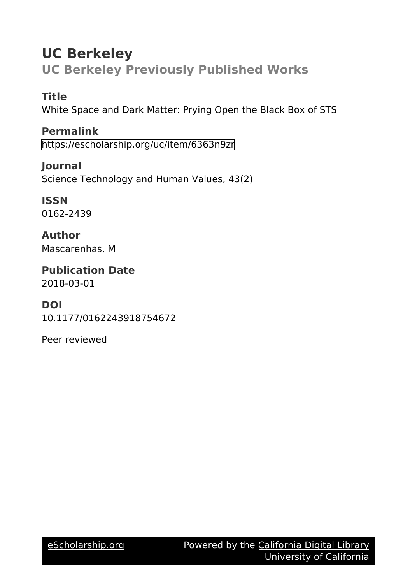# **UC Berkeley UC Berkeley Previously Published Works**

# **Title**

White Space and Dark Matter: Prying Open the Black Box of STS

# **Permalink**

<https://escholarship.org/uc/item/6363n9zr>

# **Journal**

Science Technology and Human Values, 43(2)

# **ISSN**

0162-2439

# **Author**

Mascarenhas, M

# **Publication Date** 2018-03-01

# **DOI**

10.1177/0162243918754672

Peer reviewed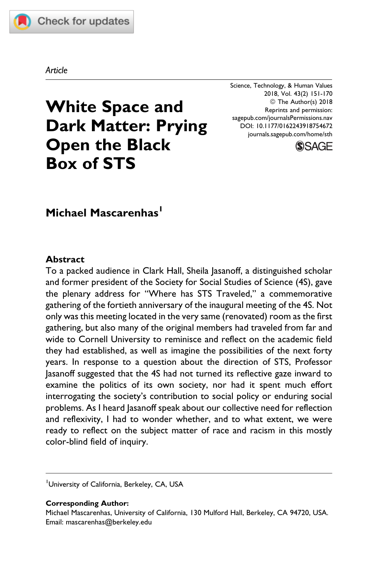

Article

Science, Technology, & Human Values 2018, Vol. 43(2) 151-170 © The Author(s) 2018 Reprints and permission: [sagepub.com/journalsPermissions.nav](https://us.sagepub.com/en-us/journals-permissions) [DOI: 10.1177/0162243918754672](https://doi.org/10.1177/0162243918754672) [journals.sagepub.com/home/sth](http://journals.sagepub.com/home/sth)



# White Space and Dark Matter: Prying Open the Black Box of STS

# Michael Mascarenhas<sup>1</sup>

### Abstract

To a packed audience in Clark Hall, Sheila Jasanoff, a distinguished scholar and former president of the Society for Social Studies of Science (4S), gave the plenary address for "Where has STS Traveled," a commemorative gathering of the fortieth anniversary of the inaugural meeting of the 4S. Not only was this meeting located in the very same (renovated) room as the first gathering, but also many of the original members had traveled from far and wide to Cornell University to reminisce and reflect on the academic field they had established, as well as imagine the possibilities of the next forty years. In response to a question about the direction of STS, Professor Jasanoff suggested that the 4S had not turned its reflective gaze inward to examine the politics of its own society, nor had it spent much effort interrogating the society's contribution to social policy or enduring social problems. As I heard Jasanoff speak about our collective need for reflection and reflexivity, I had to wonder whether, and to what extent, we were ready to reflect on the subject matter of race and racism in this mostly color-blind field of inquiry.

#### Corresponding Author:

<sup>&</sup>lt;sup>1</sup>University of California, Berkeley, CA, USA

Michael Mascarenhas, University of California, 130 Mulford Hall, Berkeley, CA 94720, USA. Email: mascarenhas@berkeley.edu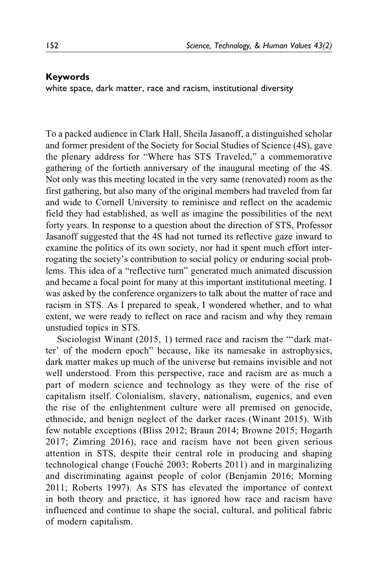### Keywords

white space, dark matter, race and racism, institutional diversity

To a packed audience in Clark Hall, Sheila Jasanoff, a distinguished scholar and former president of the Society for Social Studies of Science (4S), gave the plenary address for "Where has STS Traveled," a commemorative gathering of the fortieth anniversary of the inaugural meeting of the 4S. Not only was this meeting located in the very same (renovated) room as the first gathering, but also many of the original members had traveled from far and wide to Cornell University to reminisce and reflect on the academic field they had established, as well as imagine the possibilities of the next forty years. In response to a question about the direction of STS, Professor Jasanoff suggested that the 4S had not turned its reflective gaze inward to examine the politics of its own society, nor had it spent much effort interrogating the society's contribution to social policy or enduring social problems. This idea of a "reflective turn" generated much animated discussion and became a focal point for many at this important institutional meeting. I was asked by the conference organizers to talk about the matter of race and racism in STS. As I prepared to speak, I wondered whether, and to what extent, we were ready to reflect on race and racism and why they remain unstudied topics in STS.

Sociologist Winant (2015, 1) termed race and racism the "'dark matter' of the modern epoch" because, like its namesake in astrophysics, dark matter makes up much of the universe but remains invisible and not well understood. From this perspective, race and racism are as much a part of modern science and technology as they were of the rise of capitalism itself. Colonialism, slavery, nationalism, eugenics, and even the rise of the enlightenment culture were all premised on genocide, ethnocide, and benign neglect of the darker races (Winant 2015). With few notable exceptions (Bliss 2012; Braun 2014; Browne 2015; Hogarth 2017; Zimring 2016), race and racism have not been given serious attention in STS, despite their central role in producing and shaping technological change (Fouché 2003; Roberts 2011) and in marginalizing and discriminating against people of color (Benjamin 2016; Morning 2011; Roberts 1997). As STS has elevated the importance of context in both theory and practice, it has ignored how race and racism have influenced and continue to shape the social, cultural, and political fabric of modern capitalism.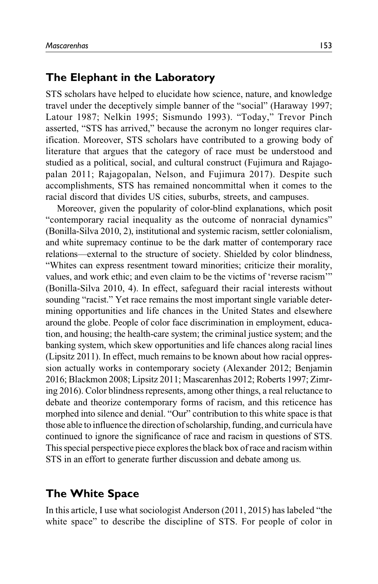### The Elephant in the Laboratory

STS scholars have helped to elucidate how science, nature, and knowledge travel under the deceptively simple banner of the "social" (Haraway 1997; Latour 1987; Nelkin 1995; Sismundo 1993). "Today," Trevor Pinch asserted, "STS has arrived," because the acronym no longer requires clarification. Moreover, STS scholars have contributed to a growing body of literature that argues that the category of race must be understood and studied as a political, social, and cultural construct (Fujimura and Rajagopalan 2011; Rajagopalan, Nelson, and Fujimura 2017). Despite such accomplishments, STS has remained noncommittal when it comes to the racial discord that divides US cities, suburbs, streets, and campuses.

Moreover, given the popularity of color-blind explanations, which posit "contemporary racial inequality as the outcome of nonracial dynamics" (Bonilla-Silva 2010, 2), institutional and systemic racism, settler colonialism, and white supremacy continue to be the dark matter of contemporary race relations—external to the structure of society. Shielded by color blindness, "Whites can express resentment toward minorities; criticize their morality, values, and work ethic; and even claim to be the victims of 'reverse racism'" (Bonilla-Silva 2010, 4). In effect, safeguard their racial interests without sounding "racist." Yet race remains the most important single variable determining opportunities and life chances in the United States and elsewhere around the globe. People of color face discrimination in employment, education, and housing; the health-care system; the criminal justice system; and the banking system, which skew opportunities and life chances along racial lines (Lipsitz 2011). In effect, much remains to be known about how racial oppression actually works in contemporary society (Alexander 2012; Benjamin 2016; Blackmon 2008; Lipsitz 2011; Mascarenhas 2012; Roberts 1997; Zimring 2016). Color blindness represents, among other things, a real reluctance to debate and theorize contemporary forms of racism, and this reticence has morphed into silence and denial. "Our" contribution to this white space is that those able to influence the direction of scholarship, funding, and curricula have continued to ignore the significance of race and racism in questions of STS. This special perspective piece explores the black box of race and racism within STS in an effort to generate further discussion and debate among us.

### The White Space

In this article, I use what sociologist Anderson (2011, 2015) has labeled "the white space" to describe the discipline of STS. For people of color in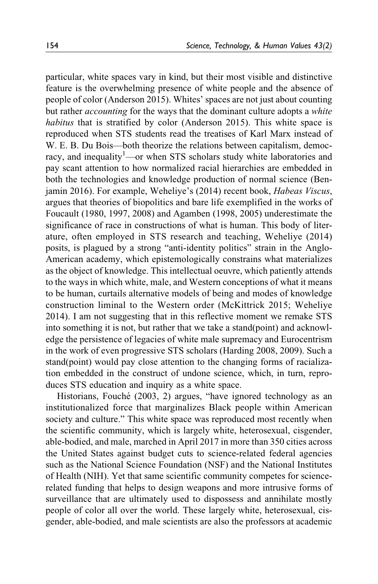particular, white spaces vary in kind, but their most visible and distinctive feature is the overwhelming presence of white people and the absence of people of color (Anderson 2015). Whites' spaces are not just about counting but rather *accounting* for the ways that the dominant culture adopts a *white* habitus that is stratified by color (Anderson 2015). This white space is reproduced when STS students read the treatises of Karl Marx instead of W. E. B. Du Bois—both theorize the relations between capitalism, democracy, and inequality<sup>1</sup>—or when STS scholars study white laboratories and pay scant attention to how normalized racial hierarchies are embedded in both the technologies and knowledge production of normal science (Benjamin 2016). For example, Weheliye's (2014) recent book, Habeas Viscus, argues that theories of biopolitics and bare life exemplified in the works of Foucault (1980, 1997, 2008) and Agamben (1998, 2005) underestimate the significance of race in constructions of what is human. This body of literature, often employed in STS research and teaching, Weheliye (2014) posits, is plagued by a strong "anti-identity politics" strain in the Anglo-American academy, which epistemologically constrains what materializes as the object of knowledge. This intellectual oeuvre, which patiently attends to the ways in which white, male, and Western conceptions of what it means to be human, curtails alternative models of being and modes of knowledge construction liminal to the Western order (McKittrick 2015; Weheliye 2014). I am not suggesting that in this reflective moment we remake STS into something it is not, but rather that we take a stand(point) and acknowledge the persistence of legacies of white male supremacy and Eurocentrism in the work of even progressive STS scholars (Harding 2008, 2009). Such a stand(point) would pay close attention to the changing forms of racialization embedded in the construct of undone science, which, in turn, reproduces STS education and inquiry as a white space.

Historians, Fouché (2003, 2) argues, "have ignored technology as an institutionalized force that marginalizes Black people within American society and culture." This white space was reproduced most recently when the scientific community, which is largely white, heterosexual, cisgender, able-bodied, and male, marched in April 2017 in more than 350 cities across the United States against budget cuts to science-related federal agencies such as the National Science Foundation (NSF) and the National Institutes of Health (NIH). Yet that same scientific community competes for sciencerelated funding that helps to design weapons and more intrusive forms of surveillance that are ultimately used to dispossess and annihilate mostly people of color all over the world. These largely white, heterosexual, cisgender, able-bodied, and male scientists are also the professors at academic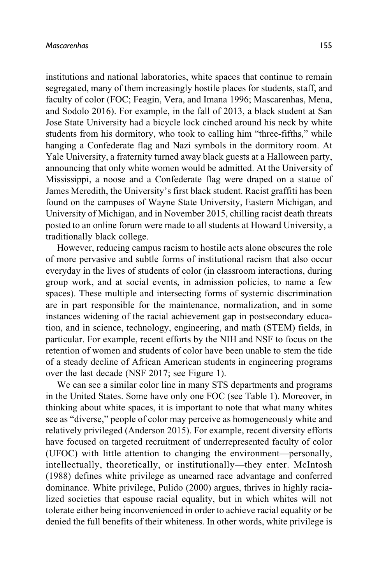institutions and national laboratories, white spaces that continue to remain segregated, many of them increasingly hostile places for students, staff, and faculty of color (FOC; Feagin, Vera, and Imana 1996; Mascarenhas, Mena, and Sodolo 2016). For example, in the fall of 2013, a black student at San Jose State University had a bicycle lock cinched around his neck by white students from his dormitory, who took to calling him "three-fifths," while hanging a Confederate flag and Nazi symbols in the dormitory room. At Yale University, a fraternity turned away black guests at a Halloween party, announcing that only white women would be admitted. At the University of Mississippi, a noose and a Confederate flag were draped on a statue of James Meredith, the University's first black student. Racist graffiti has been found on the campuses of Wayne State University, Eastern Michigan, and University of Michigan, and in November 2015, chilling racist death threats posted to an online forum were made to all students at Howard University, a traditionally black college.

However, reducing campus racism to hostile acts alone obscures the role of more pervasive and subtle forms of institutional racism that also occur everyday in the lives of students of color (in classroom interactions, during group work, and at social events, in admission policies, to name a few spaces). These multiple and intersecting forms of systemic discrimination are in part responsible for the maintenance, normalization, and in some instances widening of the racial achievement gap in postsecondary education, and in science, technology, engineering, and math (STEM) fields, in particular. For example, recent efforts by the NIH and NSF to focus on the retention of women and students of color have been unable to stem the tide of a steady decline of African American students in engineering programs over the last decade (NSF 2017; see Figure 1).

We can see a similar color line in many STS departments and programs in the United States. Some have only one FOC (see Table 1). Moreover, in thinking about white spaces, it is important to note that what many whites see as "diverse," people of color may perceive as homogeneously white and relatively privileged (Anderson 2015). For example, recent diversity efforts have focused on targeted recruitment of underrepresented faculty of color (UFOC) with little attention to changing the environment—personally, intellectually, theoretically, or institutionally—they enter. McIntosh (1988) defines white privilege as unearned race advantage and conferred dominance. White privilege, Pulido (2000) argues, thrives in highly racialized societies that espouse racial equality, but in which whites will not tolerate either being inconvenienced in order to achieve racial equality or be denied the full benefits of their whiteness. In other words, white privilege is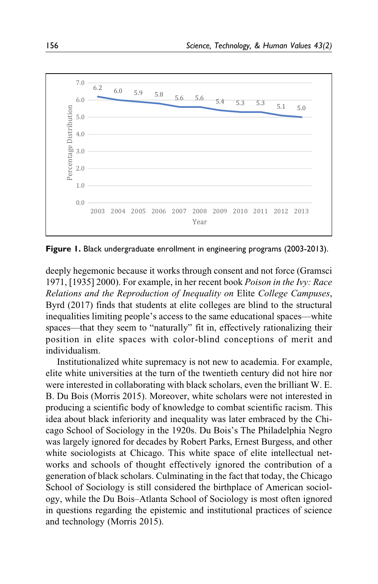

Figure 1. Black undergraduate enrollment in engineering programs (2003-2013).

deeply hegemonic because it works through consent and not force (Gramsci 1971, [1935] 2000). For example, in her recent book Poison in the Ivy: Race Relations and the Reproduction of Inequality on Elite College Campuses, Byrd (2017) finds that students at elite colleges are blind to the structural inequalities limiting people's access to the same educational spaces—white spaces—that they seem to "naturally" fit in, effectively rationalizing their position in elite spaces with color-blind conceptions of merit and individualism.

Institutionalized white supremacy is not new to academia. For example, elite white universities at the turn of the twentieth century did not hire nor were interested in collaborating with black scholars, even the brilliant W. E. B. Du Bois (Morris 2015). Moreover, white scholars were not interested in producing a scientific body of knowledge to combat scientific racism. This idea about black inferiority and inequality was later embraced by the Chicago School of Sociology in the 1920s. Du Bois's The Philadelphia Negro was largely ignored for decades by Robert Parks, Ernest Burgess, and other white sociologists at Chicago. This white space of elite intellectual networks and schools of thought effectively ignored the contribution of a generation of black scholars. Culminating in the fact that today, the Chicago School of Sociology is still considered the birthplace of American sociology, while the Du Bois–Atlanta School of Sociology is most often ignored in questions regarding the epistemic and institutional practices of science and technology (Morris 2015).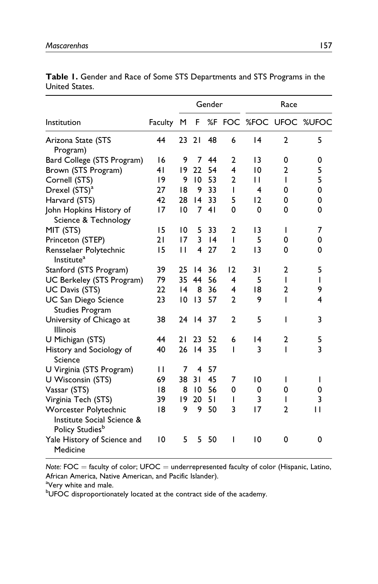|                                                                                    |           | Gender |                 |    | Race           |                 |                |                        |
|------------------------------------------------------------------------------------|-----------|--------|-----------------|----|----------------|-----------------|----------------|------------------------|
| Institution                                                                        | Faculty M |        | F               |    |                |                 |                | %F FOC %FOC UFOC %UFOC |
| Arizona State (STS<br>Program)                                                     | 44        | 23     | 21              | 48 | 6              | 4               | $\overline{2}$ | 5                      |
| Bard College (STS Program)                                                         | 16        | 9      | 7               | 44 | 2              | 13              | 0              | 0                      |
| Brown (STS Program)                                                                | 41        | 19     | 22              | 54 | 4              | 10              | $\overline{2}$ | 5                      |
| Cornell (STS)                                                                      | 9         | 9      | 10              | 53 | $\mathbf{2}$   | п               | I              | 5                      |
| Drexel (STS) <sup>a</sup>                                                          | 27        | 18     | 9               | 33 | $\mathsf{I}$   | 4               | 0              | 0                      |
| Harvard (STS)                                                                      | 42        | 28     | 4               | 33 | 5              | 12              | 0              | 0                      |
| John Hopkins History of<br>Science & Technology                                    | 17        | 10     | 7               | 41 | 0              | 0               | 0              | 0                      |
| MIT (STS)                                                                          | 15        | 10     | 5               | 33 | $\mathbf{2}$   | 13              | I              | 7                      |
| Princeton (STEP)                                                                   | 21        | 17     | 3               | 4  | $\mathsf{I}$   | 5               | 0              | 0                      |
| Rensselaer Polytechnic<br>Institute <sup>a</sup>                                   | 15        | П      | 4               | 27 | $\overline{2}$ | $\overline{13}$ | 0              | 0                      |
| Stanford (STS Program)                                                             | 39        | 25     | 4               | 36 | 12             | 31              | 2              | 5                      |
| UC Berkeley (STS Program)                                                          | 79        | 35     | 44              | 56 | 4              | 5               | ı              | L                      |
| UC Davis (STS)                                                                     | 22        | 14     | 8               | 36 | 4              | 18              | $\overline{2}$ | 9                      |
| UC San Diego Science<br>Studies Program                                            | 23        | 10     | $\overline{13}$ | 57 | $\mathbf{2}$   | 9               | ı              | 4                      |
| University of Chicago at<br><b>Illinois</b>                                        | 38        | 24     | 4               | 37 | $\overline{2}$ | 5               | ı              | 3                      |
| U Michigan (STS)                                                                   | 44        | 21     | 23              | 52 | 6              | 14              | 2              | 5                      |
| History and Sociology of<br>Science                                                | 40        | 26     | 4               | 35 | ı              | 3               | ı              | 3                      |
| U Virginia (STS Program)                                                           | П         | 7      | 4               | 57 |                |                 |                |                        |
| U Wisconsin (STS)                                                                  | 69        | 38     | 31              | 45 | 7              | 10              | I              | I                      |
| Vassar (STS)                                                                       | 18        | 8      | 10              | 56 | 0              | 0               | 0              | 0                      |
| Virginia Tech (STS)                                                                | 39        | 19     | 20              | 51 | I              | 3               | I              | 3                      |
| Worcester Polytechnic<br>Institute Social Science &<br>Policy Studies <sup>b</sup> | 18        | 9      | 9               | 50 | 3              | 17              | $\overline{2}$ | П                      |
| Yale History of Science and<br>Medicine                                            | 10        | 5      | 5               | 50 | L              | 10              | 0              | 0                      |

Table 1. Gender and Race of Some STS Departments and STS Programs in the United States.

Note:  $FOC =$  faculty of color;  $UFOC =$  underrepresented faculty of color (Hispanic, Latino, African America, Native American, and Pacific Islander).

<sup>a</sup>Very white and male.

 $b$ UFOC disproportionately located at the contract side of the academy.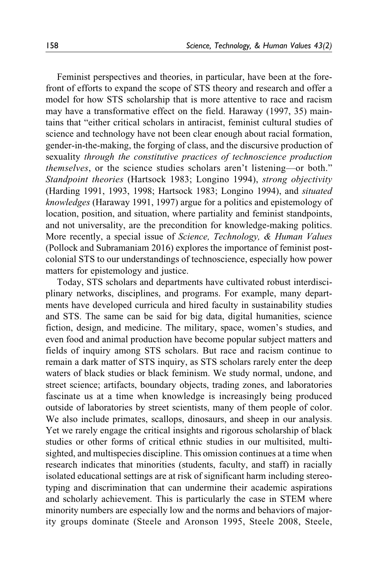Feminist perspectives and theories, in particular, have been at the forefront of efforts to expand the scope of STS theory and research and offer a model for how STS scholarship that is more attentive to race and racism may have a transformative effect on the field. Haraway (1997, 35) maintains that "either critical scholars in antiracist, feminist cultural studies of science and technology have not been clear enough about racial formation, gender-in-the-making, the forging of class, and the discursive production of sexuality through the constitutive practices of technoscience production themselves, or the science studies scholars aren't listening—or both." Standpoint theories (Hartsock 1983; Longino 1994), strong objectivity (Harding 1991, 1993, 1998; Hartsock 1983; Longino 1994), and situated knowledges (Haraway 1991, 1997) argue for a politics and epistemology of location, position, and situation, where partiality and feminist standpoints, and not universality, are the precondition for knowledge-making politics. More recently, a special issue of Science, Technology, & Human Values (Pollock and Subramaniam 2016) explores the importance of feminist postcolonial STS to our understandings of technoscience, especially how power matters for epistemology and justice.

Today, STS scholars and departments have cultivated robust interdisciplinary networks, disciplines, and programs. For example, many departments have developed curricula and hired faculty in sustainability studies and STS. The same can be said for big data, digital humanities, science fiction, design, and medicine. The military, space, women's studies, and even food and animal production have become popular subject matters and fields of inquiry among STS scholars. But race and racism continue to remain a dark matter of STS inquiry, as STS scholars rarely enter the deep waters of black studies or black feminism. We study normal, undone, and street science; artifacts, boundary objects, trading zones, and laboratories fascinate us at a time when knowledge is increasingly being produced outside of laboratories by street scientists, many of them people of color. We also include primates, scallops, dinosaurs, and sheep in our analysis. Yet we rarely engage the critical insights and rigorous scholarship of black studies or other forms of critical ethnic studies in our multisited, multisighted, and multispecies discipline. This omission continues at a time when research indicates that minorities (students, faculty, and staff) in racially isolated educational settings are at risk of significant harm including stereotyping and discrimination that can undermine their academic aspirations and scholarly achievement. This is particularly the case in STEM where minority numbers are especially low and the norms and behaviors of majority groups dominate (Steele and Aronson 1995, Steele 2008, Steele,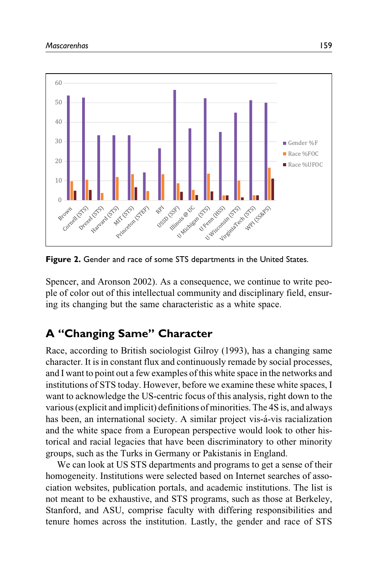

Figure 2. Gender and race of some STS departments in the United States.

Spencer, and Aronson 2002). As a consequence, we continue to write people of color out of this intellectual community and disciplinary field, ensuring its changing but the same characteristic as a white space.

# A "Changing Same" Character

Race, according to British sociologist Gilroy (1993), has a changing same character. It is in constant flux and continuously remade by social processes, and I want to point out a few examples of this white space in the networks and institutions of STS today. However, before we examine these white spaces, I want to acknowledge the US-centric focus of this analysis, right down to the various (explicit and implicit) definitions of minorities. The 4S is, and always has been, an international society. A similar project vis-a-vis racialization and the white space from a European perspective would look to other historical and racial legacies that have been discriminatory to other minority groups, such as the Turks in Germany or Pakistanis in England.

We can look at US STS departments and programs to get a sense of their homogeneity. Institutions were selected based on Internet searches of association websites, publication portals, and academic institutions. The list is not meant to be exhaustive, and STS programs, such as those at Berkeley, Stanford, and ASU, comprise faculty with differing responsibilities and tenure homes across the institution. Lastly, the gender and race of STS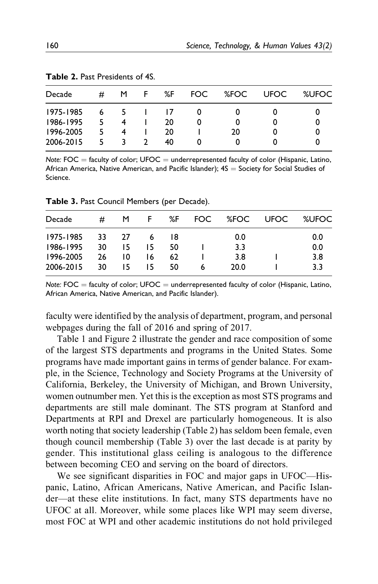| Decade    | # | м | %F | FOC. | %FOC | <b>UFOC</b> | %UFOC |
|-----------|---|---|----|------|------|-------------|-------|
| 1975-1985 | 6 | Ы |    |      |      |             |       |
| 1986-1995 |   |   | 20 |      | 0    |             |       |
| 1996-2005 | ь | 4 | 20 |      | 20   |             |       |
| 2006-2015 | 5 | 3 | 40 |      | O    |             |       |

Table 2. Past Presidents of 4S.

Note:  $FOC =$  faculty of color;  $UFOC =$  underrepresented faculty of color (Hispanic, Latino, African America, Native American, and Pacific Islander);  $4S =$  Society for Social Studies of Science.

| Decade    | #  | м  | F.  | %F | FOC. | %FOC | UFOC. | %UFOC |
|-----------|----|----|-----|----|------|------|-------|-------|
| 1975-1985 | 33 | 27 |     | 18 |      | 0.0  |       | 0.0   |
| 1986-1995 | 30 | 15 | 15. | 50 |      | 3.3  |       | 0.0   |
| 1996-2005 | 26 | 10 | 16  | 62 |      | 3.8  |       | 3.8   |
| 2006-2015 | 30 | 15 | 15  | 50 |      | 20.0 |       | 3.3   |
|           |    |    |     |    |      |      |       |       |

Table 3. Past Council Members (per Decade).

Note:  $FOC =$  faculty of color;  $UFOC =$  underrepresented faculty of color (Hispanic, Latino, African America, Native American, and Pacific Islander).

faculty were identified by the analysis of department, program, and personal webpages during the fall of 2016 and spring of 2017.

Table 1 and Figure 2 illustrate the gender and race composition of some of the largest STS departments and programs in the United States. Some programs have made important gains in terms of gender balance. For example, in the Science, Technology and Society Programs at the University of California, Berkeley, the University of Michigan, and Brown University, women outnumber men. Yet this is the exception as most STS programs and departments are still male dominant. The STS program at Stanford and Departments at RPI and Drexel are particularly homogeneous. It is also worth noting that society leadership (Table 2) has seldom been female, even though council membership (Table 3) over the last decade is at parity by gender. This institutional glass ceiling is analogous to the difference between becoming CEO and serving on the board of directors.

We see significant disparities in FOC and major gaps in UFOC—Hispanic, Latino, African Americans, Native American, and Pacific Islander—at these elite institutions. In fact, many STS departments have no UFOC at all. Moreover, while some places like WPI may seem diverse, most FOC at WPI and other academic institutions do not hold privileged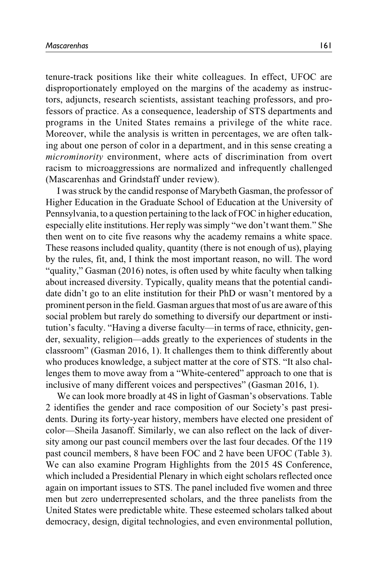tenure-track positions like their white colleagues. In effect, UFOC are disproportionately employed on the margins of the academy as instructors, adjuncts, research scientists, assistant teaching professors, and professors of practice. As a consequence, leadership of STS departments and programs in the United States remains a privilege of the white race. Moreover, while the analysis is written in percentages, we are often talking about one person of color in a department, and in this sense creating a microminority environment, where acts of discrimination from overt racism to microaggressions are normalized and infrequently challenged (Mascarenhas and Grindstaff under review).

I was struck by the candid response of Marybeth Gasman, the professor of Higher Education in the Graduate School of Education at the University of Pennsylvania, to a question pertaining to the lack of FOC in higher education, especially elite institutions. Her reply was simply "we don't want them." She then went on to cite five reasons why the academy remains a white space. These reasons included quality, quantity (there is not enough of us), playing by the rules, fit, and, I think the most important reason, no will. The word "quality," Gasman (2016) notes, is often used by white faculty when talking about increased diversity. Typically, quality means that the potential candidate didn't go to an elite institution for their PhD or wasn't mentored by a prominent person in the field. Gasman argues that most of us are aware of this social problem but rarely do something to diversify our department or institution's faculty. "Having a diverse faculty—in terms of race, ethnicity, gender, sexuality, religion—adds greatly to the experiences of students in the classroom" (Gasman 2016, 1). It challenges them to think differently about who produces knowledge, a subject matter at the core of STS. "It also challenges them to move away from a "White-centered" approach to one that is inclusive of many different voices and perspectives" (Gasman 2016, 1).

We can look more broadly at 4S in light of Gasman's observations. Table 2 identifies the gender and race composition of our Society's past presidents. During its forty-year history, members have elected one president of color—Sheila Jasanoff. Similarly, we can also reflect on the lack of diversity among our past council members over the last four decades. Of the 119 past council members, 8 have been FOC and 2 have been UFOC (Table 3). We can also examine Program Highlights from the 2015 4S Conference, which included a Presidential Plenary in which eight scholars reflected once again on important issues to STS. The panel included five women and three men but zero underrepresented scholars, and the three panelists from the United States were predictable white. These esteemed scholars talked about democracy, design, digital technologies, and even environmental pollution,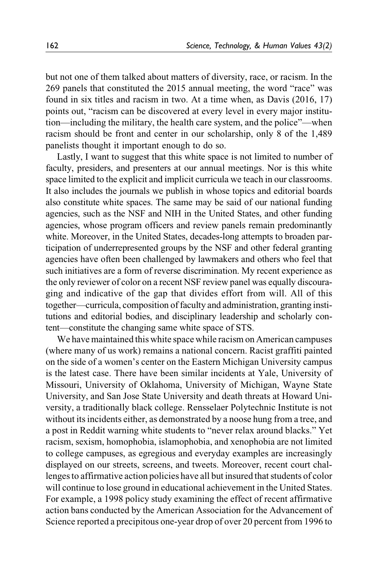but not one of them talked about matters of diversity, race, or racism. In the 269 panels that constituted the 2015 annual meeting, the word "race" was found in six titles and racism in two. At a time when, as Davis (2016, 17) points out, "racism can be discovered at every level in every major institution—including the military, the health care system, and the police"—when racism should be front and center in our scholarship, only 8 of the 1,489 panelists thought it important enough to do so.

Lastly, I want to suggest that this white space is not limited to number of faculty, presiders, and presenters at our annual meetings. Nor is this white space limited to the explicit and implicit curricula we teach in our classrooms. It also includes the journals we publish in whose topics and editorial boards also constitute white spaces. The same may be said of our national funding agencies, such as the NSF and NIH in the United States, and other funding agencies, whose program officers and review panels remain predominantly white. Moreover, in the United States, decades-long attempts to broaden participation of underrepresented groups by the NSF and other federal granting agencies have often been challenged by lawmakers and others who feel that such initiatives are a form of reverse discrimination. My recent experience as the only reviewer of color on a recent NSF review panel was equally discouraging and indicative of the gap that divides effort from will. All of this together—curricula, composition of faculty and administration, granting institutions and editorial bodies, and disciplinary leadership and scholarly content—constitute the changing same white space of STS.

We have maintained this white space while racism on American campuses (where many of us work) remains a national concern. Racist graffiti painted on the side of a women's center on the Eastern Michigan University campus is the latest case. There have been similar incidents at Yale, University of Missouri, University of Oklahoma, University of Michigan, Wayne State University, and San Jose State University and death threats at Howard University, a traditionally black college. Rensselaer Polytechnic Institute is not without its incidents either, as demonstrated by a noose hung from a tree, and a post in Reddit warning white students to "never relax around blacks." Yet racism, sexism, homophobia, islamophobia, and xenophobia are not limited to college campuses, as egregious and everyday examples are increasingly displayed on our streets, screens, and tweets. Moreover, recent court challenges to affirmative action policies have all but insured that students of color will continue to lose ground in educational achievement in the United States. For example, a 1998 policy study examining the effect of recent affirmative action bans conducted by the American Association for the Advancement of Science reported a precipitous one-year drop of over 20 percent from 1996 to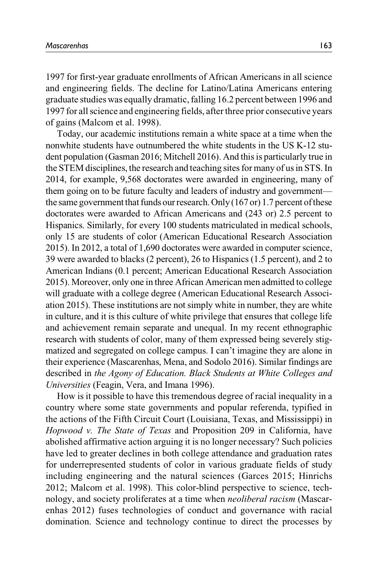1997 for first-year graduate enrollments of African Americans in all science and engineering fields. The decline for Latino/Latina Americans entering graduate studies was equally dramatic, falling 16.2 percent between 1996 and 1997 for all science and engineering fields, after three prior consecutive years of gains (Malcom et al. 1998).

Today, our academic institutions remain a white space at a time when the nonwhite students have outnumbered the white students in the US K-12 student population (Gasman 2016; Mitchell 2016). And this is particularly true in the STEM disciplines, the research and teaching sites for many of us in STS. In 2014, for example, 9,568 doctorates were awarded in engineering, many of them going on to be future faculty and leaders of industry and government the same government that funds our research. Only  $(167 \text{ or } 1.7 \text{ percent of these})$ doctorates were awarded to African Americans and (243 or) 2.5 percent to Hispanics. Similarly, for every 100 students matriculated in medical schools, only 15 are students of color (American Educational Research Association 2015). In 2012, a total of 1,690 doctorates were awarded in computer science, 39 were awarded to blacks (2 percent), 26 to Hispanics (1.5 percent), and 2 to American Indians (0.1 percent; American Educational Research Association 2015). Moreover, only one in three African American men admitted to college will graduate with a college degree (American Educational Research Association 2015). These institutions are not simply white in number, they are white in culture, and it is this culture of white privilege that ensures that college life and achievement remain separate and unequal. In my recent ethnographic research with students of color, many of them expressed being severely stigmatized and segregated on college campus. I can't imagine they are alone in their experience (Mascarenhas, Mena, and Sodolo 2016). Similar findings are described in the Agony of Education. Black Students at White Colleges and Universities (Feagin, Vera, and Imana 1996).

How is it possible to have this tremendous degree of racial inequality in a country where some state governments and popular referenda, typified in the actions of the Fifth Circuit Court (Louisiana, Texas, and Mississippi) in Hopwood v. The State of Texas and Proposition 209 in California, have abolished affirmative action arguing it is no longer necessary? Such policies have led to greater declines in both college attendance and graduation rates for underrepresented students of color in various graduate fields of study including engineering and the natural sciences (Garces 2015; Hinrichs 2012; Malcom et al. 1998). This color-blind perspective to science, technology, and society proliferates at a time when neoliberal racism (Mascarenhas 2012) fuses technologies of conduct and governance with racial domination. Science and technology continue to direct the processes by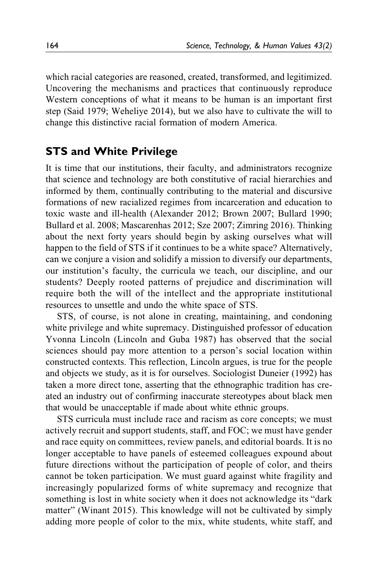which racial categories are reasoned, created, transformed, and legitimized. Uncovering the mechanisms and practices that continuously reproduce Western conceptions of what it means to be human is an important first step (Said 1979; Weheliye 2014), but we also have to cultivate the will to change this distinctive racial formation of modern America.

## STS and White Privilege

It is time that our institutions, their faculty, and administrators recognize that science and technology are both constitutive of racial hierarchies and informed by them, continually contributing to the material and discursive formations of new racialized regimes from incarceration and education to toxic waste and ill-health (Alexander 2012; Brown 2007; Bullard 1990; Bullard et al. 2008; Mascarenhas 2012; Sze 2007; Zimring 2016). Thinking about the next forty years should begin by asking ourselves what will happen to the field of STS if it continues to be a white space? Alternatively, can we conjure a vision and solidify a mission to diversify our departments, our institution's faculty, the curricula we teach, our discipline, and our students? Deeply rooted patterns of prejudice and discrimination will require both the will of the intellect and the appropriate institutional resources to unsettle and undo the white space of STS.

STS, of course, is not alone in creating, maintaining, and condoning white privilege and white supremacy. Distinguished professor of education Yvonna Lincoln (Lincoln and Guba 1987) has observed that the social sciences should pay more attention to a person's social location within constructed contexts. This reflection, Lincoln argues, is true for the people and objects we study, as it is for ourselves. Sociologist Duneier (1992) has taken a more direct tone, asserting that the ethnographic tradition has created an industry out of confirming inaccurate stereotypes about black men that would be unacceptable if made about white ethnic groups.

STS curricula must include race and racism as core concepts; we must actively recruit and support students, staff, and FOC; we must have gender and race equity on committees, review panels, and editorial boards. It is no longer acceptable to have panels of esteemed colleagues expound about future directions without the participation of people of color, and theirs cannot be token participation. We must guard against white fragility and increasingly popularized forms of white supremacy and recognize that something is lost in white society when it does not acknowledge its "dark matter" (Winant 2015). This knowledge will not be cultivated by simply adding more people of color to the mix, white students, white staff, and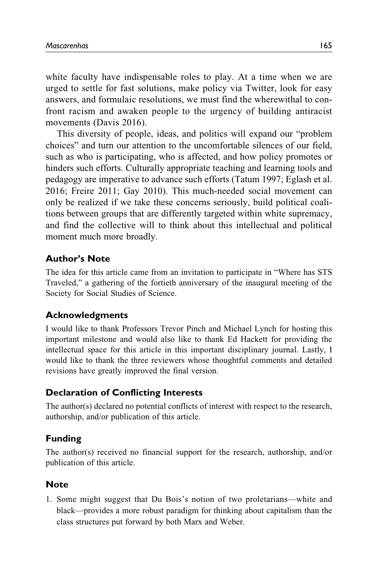white faculty have indispensable roles to play. At a time when we are urged to settle for fast solutions, make policy via Twitter, look for easy answers, and formulaic resolutions, we must find the wherewithal to confront racism and awaken people to the urgency of building antiracist movements (Davis 2016).

This diversity of people, ideas, and politics will expand our "problem choices" and turn our attention to the uncomfortable silences of our field, such as who is participating, who is affected, and how policy promotes or hinders such efforts. Culturally appropriate teaching and learning tools and pedagogy are imperative to advance such efforts (Tatum 1997; Eglash et al. 2016; Freire 2011; Gay 2010). This much-needed social movement can only be realized if we take these concerns seriously, build political coalitions between groups that are differently targeted within white supremacy, and find the collective will to think about this intellectual and political moment much more broadly.

### Author's Note

The idea for this article came from an invitation to participate in "Where has STS Traveled," a gathering of the fortieth anniversary of the inaugural meeting of the Society for Social Studies of Science.

### Acknowledgments

I would like to thank Professors Trevor Pinch and Michael Lynch for hosting this important milestone and would also like to thank Ed Hackett for providing the intellectual space for this article in this important disciplinary journal. Lastly, I would like to thank the three reviewers whose thoughtful comments and detailed revisions have greatly improved the final version.

### Declaration of Conflicting Interests

The author(s) declared no potential conflicts of interest with respect to the research, authorship, and/or publication of this article.

### Funding

The author(s) received no financial support for the research, authorship, and/or publication of this article.

### **Note**

1. Some might suggest that Du Bois's notion of two proletarians—white and black—provides a more robust paradigm for thinking about capitalism than the class structures put forward by both Marx and Weber.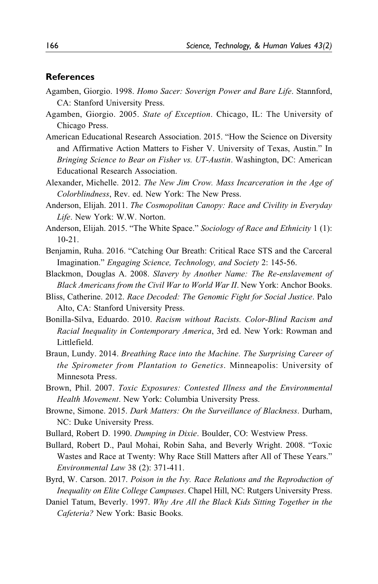### References

- Agamben, Giorgio. 1998. Homo Sacer: Soverign Power and Bare Life. Stannford, CA: Stanford University Press.
- Agamben, Giorgio. 2005. State of Exception. Chicago, IL: The University of Chicago Press.
- American Educational Research Association. 2015. "How the Science on Diversity and Affirmative Action Matters to Fisher V. University of Texas, Austin." In Bringing Science to Bear on Fisher vs. UT-Austin. Washington, DC: American Educational Research Association.
- Alexander, Michelle. 2012. The New Jim Crow. Mass Incarceration in the Age of Colorblindness, Rev. ed. New York: The New Press.
- Anderson, Elijah. 2011. The Cosmopolitan Canopy: Race and Civility in Everyday Life. New York: W.W. Norton.
- Anderson, Elijah. 2015. "The White Space." Sociology of Race and Ethnicity 1 (1): 10-21.
- Benjamin, Ruha. 2016. "Catching Our Breath: Critical Race STS and the Carceral Imagination." Engaging Science, Technology, and Society 2: 145-56.
- Blackmon, Douglas A. 2008. Slavery by Another Name: The Re-enslavement of Black Americans from the Civil War to World War II. New York: Anchor Books.
- Bliss, Catherine. 2012. Race Decoded: The Genomic Fight for Social Justice. Palo Alto, CA: Stanford University Press.
- Bonilla-Silva, Eduardo. 2010. Racism without Racists. Color-Blind Racism and Racial Inequality in Contemporary America, 3rd ed. New York: Rowman and Littlefield.
- Braun, Lundy. 2014. Breathing Race into the Machine. The Surprising Career of the Spirometer from Plantation to Genetics. Minneapolis: University of Minnesota Press.
- Brown, Phil. 2007. Toxic Exposures: Contested Illness and the Environmental Health Movement. New York: Columbia University Press.
- Browne, Simone. 2015. Dark Matters: On the Surveillance of Blackness. Durham, NC: Duke University Press.
- Bullard, Robert D. 1990. Dumping in Dixie. Boulder, CO: Westview Press.
- Bullard, Robert D., Paul Mohai, Robin Saha, and Beverly Wright. 2008. "Toxic Wastes and Race at Twenty: Why Race Still Matters after All of These Years." Environmental Law 38 (2): 371-411.
- Byrd, W. Carson. 2017. Poison in the Ivy. Race Relations and the Reproduction of Inequality on Elite College Campuses. Chapel Hill, NC: Rutgers University Press.
- Daniel Tatum, Beverly. 1997. Why Are All the Black Kids Sitting Together in the Cafeteria? New York: Basic Books.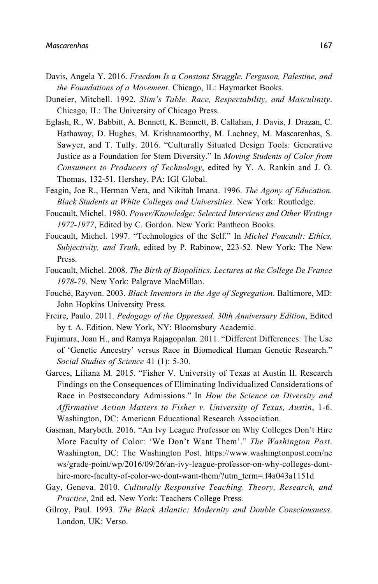- Davis, Angela Y. 2016. Freedom Is a Constant Struggle. Ferguson, Palestine, and the Foundations of a Movement. Chicago, IL: Haymarket Books.
- Duneier, Mitchell. 1992. Slim's Table. Race, Respectability, and Masculinity. Chicago, IL: The University of Chicago Press.
- Eglash, R., W. Babbitt, A. Bennett, K. Bennett, B. Callahan, J. Davis, J. Drazan, C. Hathaway, D. Hughes, M. Krishnamoorthy, M. Lachney, M. Mascarenhas, S. Sawyer, and T. Tully. 2016. "Culturally Situated Design Tools: Generative Justice as a Foundation for Stem Diversity." In Moving Students of Color from Consumers to Producers of Technology, edited by Y. A. Rankin and J. O. Thomas, 132-51. Hershey, PA: IGI Global.
- Feagin, Joe R., Herman Vera, and Nikitah Imana. 1996. The Agony of Education. Black Students at White Colleges and Universities. New York: Routledge.
- Foucault, Michel. 1980. Power/Knowledge: Selected Interviews and Other Writings 1972-1977, Edited by C. Gordon. New York: Pantheon Books.
- Foucault, Michel. 1997. "Technologies of the Self." In Michel Foucault: Ethics, Subjectivity, and Truth, edited by P. Rabinow, 223-52. New York: The New Press.
- Foucault, Michel. 2008. The Birth of Biopolitics. Lectures at the College De France 1978-79. New York: Palgrave MacMillan.
- Fouché, Rayvon. 2003. Black Inventors in the Age of Segregation. Baltimore, MD: John Hopkins University Press.
- Freire, Paulo. 2011. Pedogogy of the Oppressed. 30th Anniversary Edition, Edited by t. A. Edition. New York, NY: Bloomsbury Academic.
- Fujimura, Joan H., and Ramya Rajagopalan. 2011. "Different Differences: The Use of 'Genetic Ancestry' versus Race in Biomedical Human Genetic Research." Social Studies of Science 41 (1): 5-30.
- Garces, Liliana M. 2015. "Fisher V. University of Texas at Austin II. Research Findings on the Consequences of Eliminating Individualized Considerations of Race in Postsecondary Admissions." In How the Science on Diversity and Affirmative Action Matters to Fisher v. University of Texas, Austin, 1-6. Washington, DC: American Educational Research Association.
- Gasman, Marybeth. 2016. "An Ivy League Professor on Why Colleges Don't Hire More Faculty of Color: 'We Don't Want Them'." The Washington Post. Washington, DC: The Washington Post. [https://www.washingtonpost.com/ne](https://www.washingtonpost.com/news/grade-point/wp/2016/09/26/an-ivy-league-professor-on-why-colleges-dont-hire-more-faculty-of-color-we-dont-want-them/?utm_term=.f4a043a1151d) [ws/grade-point/wp/2016/09/26/an-ivy-league-professor-on-why-colleges-dont](https://www.washingtonpost.com/news/grade-point/wp/2016/09/26/an-ivy-league-professor-on-why-colleges-dont-hire-more-faculty-of-color-we-dont-want-them/?utm_term=.f4a043a1151d)[hire-more-faculty-of-color-we-dont-want-them/?utm\\_term=.f4a043a1151d](https://www.washingtonpost.com/news/grade-point/wp/2016/09/26/an-ivy-league-professor-on-why-colleges-dont-hire-more-faculty-of-color-we-dont-want-them/?utm_term=.f4a043a1151d)
- Gay, Geneva. 2010. Culturally Responsive Teaching. Theory, Research, and Practice, 2nd ed. New York: Teachers College Press.
- Gilroy, Paul. 1993. The Black Atlantic: Modernity and Double Consciousness. London, UK: Verso.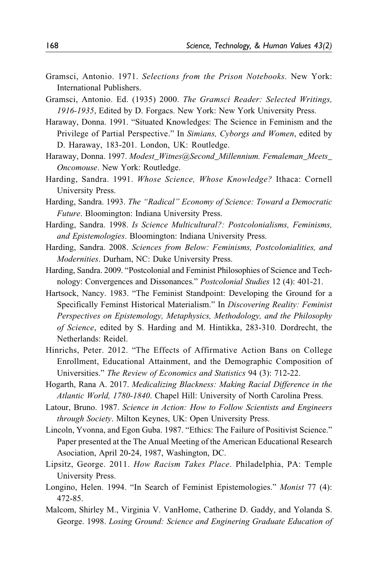- Gramsci, Antonio. 1971. Selections from the Prison Notebooks. New York: International Publishers.
- Gramsci, Antonio. Ed. (1935) 2000. The Gramsci Reader: Selected Writings, 1916-1935, Edited by D. Forgacs. New York: New York University Press.
- Haraway, Donna. 1991. "Situated Knowledges: The Science in Feminism and the Privilege of Partial Perspective." In Simians, Cyborgs and Women, edited by D. Haraway, 183-201. London, UK: Routledge.
- Haraway, Donna. 1997. Modest\_Witnes@Second\_Millennium. Femaleman\_Meets\_ Oncomouse. New York: Routledge.
- Harding, Sandra. 1991. Whose Science, Whose Knowledge? Ithaca: Cornell University Press.
- Harding, Sandra. 1993. The "Radical" Economy of Science: Toward a Democratic Future. Bloomington: Indiana University Press.
- Harding, Sandra. 1998. Is Science Multicultural?: Postcolonialisms, Feminisms, and Epistemologies. Bloomington: Indiana University Press.
- Harding, Sandra. 2008. Sciences from Below: Feminisms, Postcolonialities, and Modernities. Durham, NC: Duke University Press.
- Harding, Sandra. 2009. "Postcolonial and Feminist Philosophies of Science and Technology: Convergences and Dissonances." Postcolonial Studies 12 (4): 401-21.
- Hartsock, Nancy. 1983. "The Feminist Standpoint: Developing the Ground for a Specifically Feminst Historical Materialism." In Discovering Reality: Feminist Perspectives on Epistemology, Metaphysics, Methodology, and the Philosophy of Science, edited by S. Harding and M. Hintikka, 283-310. Dordrecht, the Netherlands: Reidel.
- Hinrichs, Peter. 2012. "The Effects of Affirmative Action Bans on College Enrollment, Educational Attainment, and the Demographic Composition of Universities." The Review of Economics and Statistics 94 (3): 712-22.
- Hogarth, Rana A. 2017. Medicalizing Blackness: Making Racial Difference in the Atlantic World, 1780-1840. Chapel Hill: University of North Carolina Press.
- Latour, Bruno. 1987. Science in Action: How to Follow Scientists and Engineers through Society. Milton Keynes, UK: Open University Press.
- Lincoln, Yvonna, and Egon Guba. 1987. "Ethics: The Failure of Positivist Science." Paper presented at the The Anual Meeting of the American Educational Research Asociation, April 20-24, 1987, Washington, DC.
- Lipsitz, George. 2011. How Racism Takes Place. Philadelphia, PA: Temple University Press.
- Longino, Helen. 1994. "In Search of Feminist Epistemologies." Monist 77 (4): 472-85.
- Malcom, Shirley M., Virginia V. VanHome, Catherine D. Gaddy, and Yolanda S. George. 1998. Losing Ground: Science and Enginering Graduate Education of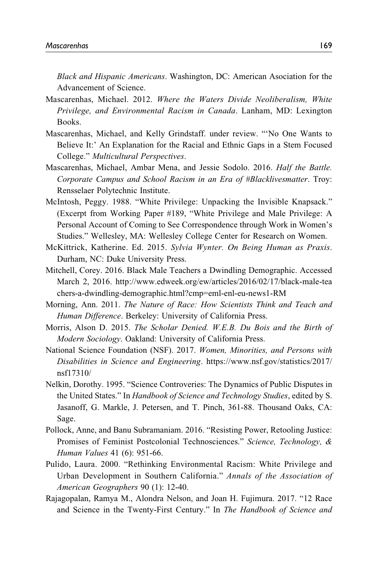Black and Hispanic Americans. Washington, DC: American Asociation for the Advancement of Science.

- Mascarenhas, Michael. 2012. Where the Waters Divide Neoliberalism, White Privilege, and Environmental Racism in Canada. Lanham, MD: Lexington Books.
- Mascarenhas, Michael, and Kelly Grindstaff. under review. "'No One Wants to Believe It:' An Explanation for the Racial and Ethnic Gaps in a Stem Focused College." Multicultural Perspectives.
- Mascarenhas, Michael, Ambar Mena, and Jessie Sodolo. 2016. Half the Battle. Corporate Campus and School Racism in an Era of #Blacklivesmatter. Troy: Rensselaer Polytechnic Institute.
- McIntosh, Peggy. 1988. "White Privilege: Unpacking the Invisible Knapsack." (Excerpt from Working Paper #189, "White Privilege and Male Privilege: A Personal Account of Coming to See Correspondence through Work in Women's Studies." Wellesley, MA: Wellesley College Center for Research on Women.
- McKittrick, Katherine. Ed. 2015. Sylvia Wynter. On Being Human as Praxis. Durham, NC: Duke University Press.
- Mitchell, Corey. 2016. Black Male Teachers a Dwindling Demographic. Accessed March 2, 2016. [http://www.edweek.org/ew/articles/2016/02/17/black-male-tea](http://www.edweek.org/ew/articles/2016/02/17/black-male-teachers-a-dwindling-demographic.html?cmp=eml-enl-eu-news1-RM) [chers-a-dwindling-demographic.html?cmp=eml-enl-eu-news1-RM](http://www.edweek.org/ew/articles/2016/02/17/black-male-teachers-a-dwindling-demographic.html?cmp=eml-enl-eu-news1-RM)
- Morning, Ann. 2011. The Nature of Race: How Scientists Think and Teach and Human Difference. Berkeley: University of California Press.
- Morris, Alson D. 2015. The Scholar Denied. W.E.B. Du Bois and the Birth of Modern Sociology. Oakland: University of California Press.
- National Science Foundation (NSF). 2017. Women, Minorities, and Persons with Disabilities in Science and Engineering. [https://www.nsf.gov/statistics/2017/](https://www.nsf.gov/statistics/2017/nsf17310/) [nsf17310/](https://www.nsf.gov/statistics/2017/nsf17310/)
- Nelkin, Dorothy. 1995. "Science Controveries: The Dynamics of Public Disputes in the United States." In Handbook of Science and Technology Studies, edited by S. Jasanoff, G. Markle, J. Petersen, and T. Pinch, 361-88. Thousand Oaks, CA: Sage.
- Pollock, Anne, and Banu Subramaniam. 2016. "Resisting Power, Retooling Justice: Promises of Feminist Postcolonial Technosciences." Science, Technology, & Human Values 41 (6): 951-66.
- Pulido, Laura. 2000. "Rethinking Environmental Racism: White Privilege and Urban Development in Southern California." Annals of the Association of American Geographers 90 (1): 12-40.
- Rajagopalan, Ramya M., Alondra Nelson, and Joan H. Fujimura. 2017. "12 Race and Science in the Twenty-First Century." In The Handbook of Science and